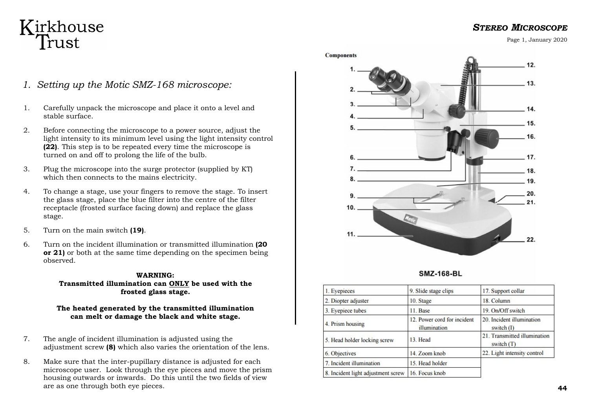# Kirkhouse Trust

*1. Setting up the Motic SMZ-168 microscope:* 

- 1. Carefully unpack the microscope and place it onto a level and stable surface.
- 2. Before connecting the microscope to a power source, adjust the light intensity to its minimum level using the light intensity control **(22)**. This step is to be repeated every time the microscope is turned on and off to prolong the life of the bulb.
- 3. Plug the microscope into the surge protector (supplied by KT) which then connects to the mains electricity.
- 4. To change a stage, use your fingers to remove the stage. To insert the glass stage, place the blue filter into the centre of the filter receptacle (frosted surface facing down) and replace the glass stage.
- 5. Turn on the main switch **(19)**.
- 6. Turn on the incident illumination or transmitted illumination **(20 or 21)** or both at the same time depending on the specimen being observed.

#### **WARNING:**

**Transmitted illumination can ONLY be used with the frosted glass stage.**

#### **The heated generated by the transmitted illumination can melt or damage the black and white stage.**

- 7. The angle of incident illumination is adjusted using the adjustment screw **(8)** which also varies the orientation of the lens.
- 8. Make sure that the inter-pupillary distance is adjusted for each microscope user. Look through the eye pieces and move the prism housing outwards or inwards. Do this until the two fields of view are as one through both eye pieces.





| 1. Eyepieces                       | 9. Slide stage clips                        | 17. Support collar                           |
|------------------------------------|---------------------------------------------|----------------------------------------------|
| 2. Diopter adjuster                | 10. Stage                                   | 18. Column                                   |
| 3. Eyepiece tubes                  | $11.$ Base                                  | 19. On/Off switch                            |
| 4. Prism housing                   | 12. Power cord for incident<br>illumination | 20. Incident illumination<br>switch $(I)$    |
| 5. Head holder locking screw       | 13. Head                                    | 21. Transmitted illumination<br>switch $(T)$ |
| 6. Objectives                      | 14. Zoom knob                               | 22. Light intensity control                  |
| 7. Incident illumination           | 15. Head holder                             |                                              |
| 8. Incident light adjustment screw | 16. Focus knob                              |                                              |

### *STEREO MICROSCOPE*

Page 1, January 2020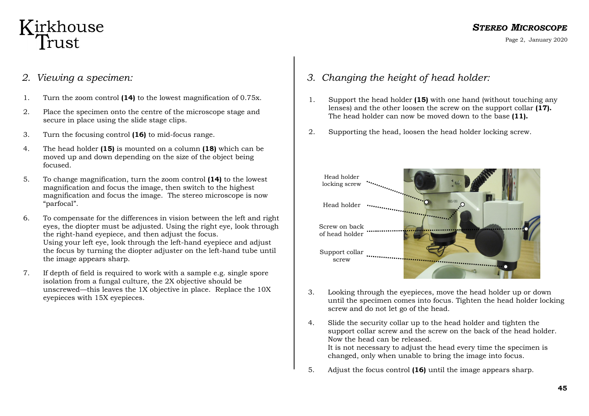### *STEREO MICROSCOPE*

Page 2, January 2020

# Kirkhouse Trust

### *2. Viewing a specimen:*

- 1. Turn the zoom control **(14)** to the lowest magnification of 0.75x.
- 2. Place the specimen onto the centre of the microscope stage and secure in place using the slide stage clips.
- 3. Turn the focusing control **(16)** to mid-focus range.
- 4. The head holder **(15)** is mounted on a column **(18)** which can be moved up and down depending on the size of the object being focused.
- 5. To change magnification, turn the zoom control **(14)** to the lowest magnification and focus the image, then switch to the highest magnification and focus the image. The stereo microscope is now "parfocal".
- 6. To compensate for the differences in vision between the left and right eyes, the diopter must be adjusted. Using the right eye, look through the right-hand eyepiece, and then adjust the focus. Using your left eye, look through the left-hand eyepiece and adjust the focus by turning the diopter adjuster on the left-hand tube until the image appears sharp.
- 7. If depth of field is required to work with a sample e.g. single spore isolation from a fungal culture, the 2X objective should be unscrewed—this leaves the 1X objective in place. Replace the 10X eyepieces with 15X eyepieces.
- *3. Changing the height of head holder:*
- 1. Support the head holder **(15)** with one hand (without touching any lenses) and the other loosen the screw on the support collar **(17).**  The head holder can now be moved down to the base **(11).**
- 2. Supporting the head, loosen the head holder locking screw.



- 3. Looking through the eyepieces, move the head holder up or down until the specimen comes into focus. Tighten the head holder locking screw and do not let go of the head.
- 4. Slide the security collar up to the head holder and tighten the support collar screw and the screw on the back of the head holder. Now the head can be released. It is not necessary to adjust the head every time the specimen is changed, only when unable to bring the image into focus.
- 5. Adjust the focus control **(16)** until the image appears sharp.